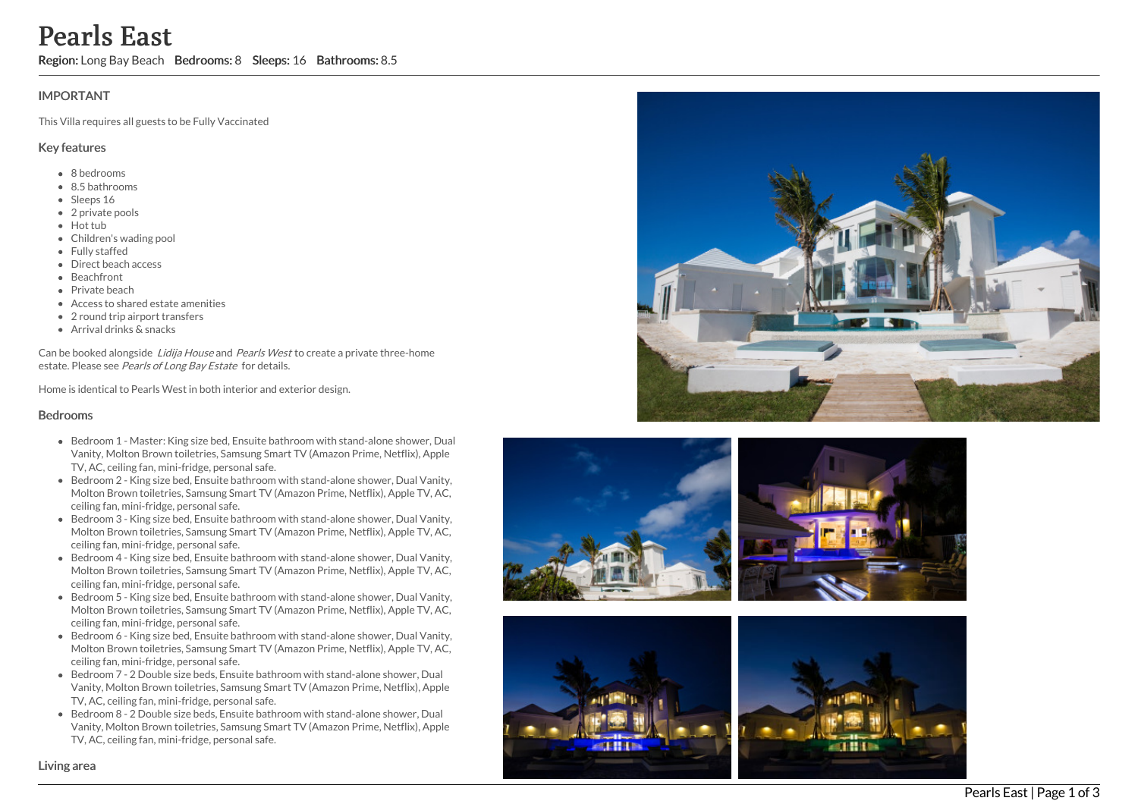# **IMPORTANT**

This Villa requires all guests to be Fully Vaccinated

### Key features

- 8 b e d r o o m s
- 8.5 bathrooms
- Sleeps 16
- 2 private pools
- Hot tub
- Children's wading pool
- Fully staffed
- Direct beach access
- Beachfront
- Private beach
- Access to shared estate amenities
- 2 round trip airport transfers
- Arrival drinks & snacks

Can be booked alongside Lidija House and Pearls West to create a private three-home estate. Please see Pearls of Long Bay Estate for details.

Home is identical to Pearls West in both interior and exterior design.

### Bedrooms

- Bedroom 1 Master: King size bed, Ensuite bathroom with stand-alone shower, Dual Vanity, Molton Brown toiletries, Samsung Smart TV (Amazon Prime, Netflix), Apple TV, AC, ceiling fan, mini-fridge, personal safe.
- Bedroom 2 King size bed, Ensuite bathroom with stand-alone shower, Dual Vanity, Molton Brown toiletries, Samsung Smart TV (Amazon Prime, Netflix), Apple TV, AC, ceiling fan, mini-fridge, personal safe.
- Bedroom 3 King size bed, Ensuite bathroom with stand-alone shower, Dual Vanity, Molton Brown toiletries, Samsung Smart TV (Amazon Prime, Netflix), Apple TV, AC, ceiling fan, mini-fridge, personal safe.
- Bedroom 4 King size bed, Ensuite bathroom with stand-alone shower, Dual Vanity, Molton Brown toiletries, Samsung Smart TV (Amazon Prime, Netflix), Apple TV, AC, ceiling fan, mini-fridge, personal safe.
- Bedroom 5 King size bed, Ensuite bathroom with stand-alone shower, Dual Vanity, Molton Brown toiletries, Samsung Smart TV (Amazon Prime, Netflix), Apple TV, AC, ceiling fan, mini-fridge, personal safe.
- Bedroom 6 King size bed, Ensuite bathroom with stand-alone shower, Dual Vanity, Molton Brown toiletries, Samsung Smart TV (Amazon Prime, Netflix), Apple TV, AC, ceiling fan, mini-fridge, personal safe. **Pearls East C**<br> **Region:** Long Bay Beach Bedrooms: 8 Sleeps: 16 Bathrooms: 8.5<br>
IMPORTANT<br>
This Villa requires all guests to be Fully Vaccinated<br> **KV** (Features <br>
• Biberions<br>
• Sisal vicons<br>
• Sisal vicons<br>
• Sisal vico
	- Bedroom 7 2 Double size beds, Ensuite bathroom with stand-alone shower, Dual Vanity, Molton Brown toiletries, Samsung Smart TV (Amazon Prime, Netflix), Apple TV, AC, ceiling fan, mini-fridge, personal safe.
	- **Bedroom 8 2 Double size beds, Ensuite bathroom with stand-alone shower, Dual** Vanity, Molton Brown toiletries, Samsung Smart TV (Amazon Prime, Netflix), Apple TV, AC, ceiling fan, mini-fridge, personal safe.







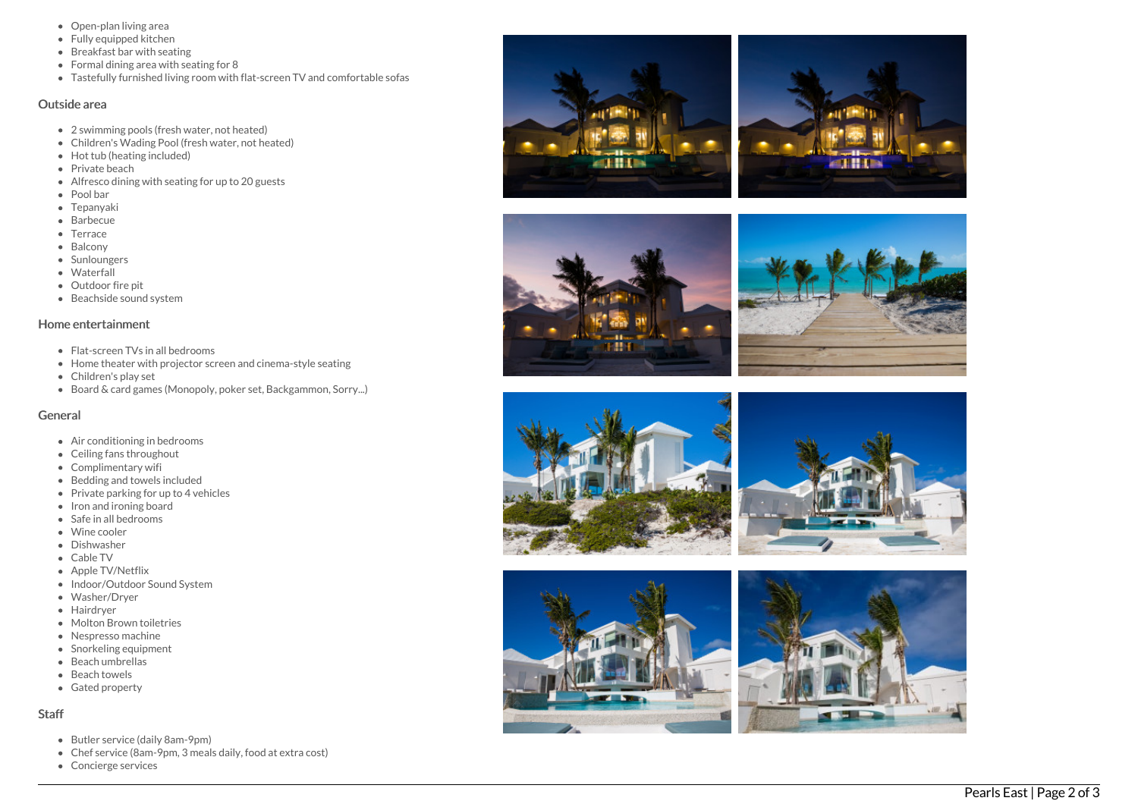- Open-plan living area
- Fully equipped kitchen
- Breakfast bar with seating
- Formal dining area with seating for 8
- Tastefully furnished living room with flat-screen TV and comfortable sofas

#### Outside area

- 2 swimming pools (fresh water, not heated)
- Children's Wading Pool (fresh water, not heated)
- Hot tub (heating included)
- Private beach
- Alfresco dining with seating for up to 20 guests
- Pool bar
- **Tepanyaki**
- Barbecue
- Terrace
- Balcony
- **Sunloungers**
- Waterfall
- Outdoor fir e pit
- B e a c h sid e s o u n d s y s t e m

#### Home entertainment

- Flat-screen TVs in all bedrooms
- Home theater with projector screen and cinema-style seating
- Children's play set
- Board & card games (Monopoly, poker set, Backgammon, Sorry...)

### General

- Air conditioning in bedrooms
- Ceiling fans throughout
- Complimentary wifi
- Bedding and towels in clu d e d
- Private parking for up to 4 vehicles
- Iron and ironing board
- Safe in all bedrooms
- Wine cooler
- **•** Dishwasher
- Cable TV
- Apple TV/Netflix
- Indoor/Outdoor Sound System
- Washer/Dryer
- Hairdryer
- Molton Brown toiletries
- Nespresso machine
- Snorkeling equipment
- Beach umbrellas
- Beach towels
- Gated property

### S t a f f

- Butler service (daily 8am-9pm)
- Butler service (daily 8am-9pm)<br>Chef service (8am-9pm, 3 meals daily, food at extra cost)
- Concierge services